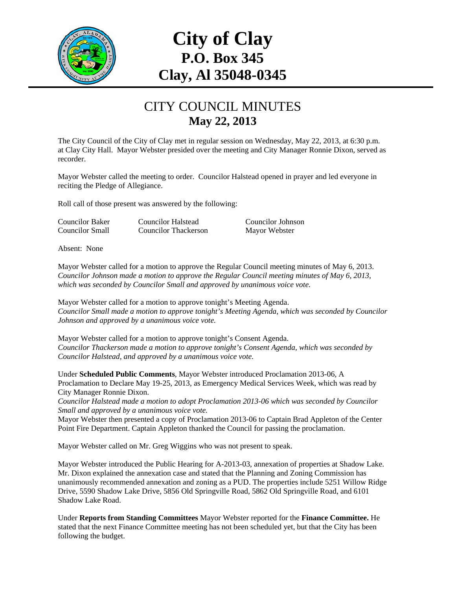

## **City of Clay P.O. Box 345 Clay, Al 35048-0345**

## CITY COUNCIL MINUTES **May 22, 2013**

The City Council of the City of Clay met in regular session on Wednesday, May 22, 2013, at 6:30 p.m. at Clay City Hall. Mayor Webster presided over the meeting and City Manager Ronnie Dixon, served as recorder.

Mayor Webster called the meeting to order. Councilor Halstead opened in prayer and led everyone in reciting the Pledge of Allegiance.

Roll call of those present was answered by the following:

Councilor Small Councilor Thackerson Mayor Webster

Councilor Baker Councilor Halstead Councilor Johnson

Absent: None

Mayor Webster called for a motion to approve the Regular Council meeting minutes of May 6, 2013. *Councilor Johnson made a motion to approve the Regular Council meeting minutes of May 6, 2013, which was seconded by Councilor Small and approved by unanimous voice vote.* 

Mayor Webster called for a motion to approve tonight's Meeting Agenda. *Councilor Small made a motion to approve tonight's Meeting Agenda, which was seconded by Councilor Johnson and approved by a unanimous voice vote.* 

Mayor Webster called for a motion to approve tonight's Consent Agenda. *Councilor Thackerson made a motion to approve tonight's Consent Agenda, which was seconded by Councilor Halstead, and approved by a unanimous voice vote.* 

Under **Scheduled Public Comments**, Mayor Webster introduced Proclamation 2013-06, A Proclamation to Declare May 19-25, 2013, as Emergency Medical Services Week, which was read by City Manager Ronnie Dixon.

*Councilor Halstead made a motion to adopt Proclamation 2013-06 which was seconded by Councilor Small and approved by a unanimous voice vote.* 

Mayor Webster then presented a copy of Proclamation 2013-06 to Captain Brad Appleton of the Center Point Fire Department. Captain Appleton thanked the Council for passing the proclamation.

Mayor Webster called on Mr. Greg Wiggins who was not present to speak.

Mayor Webster introduced the Public Hearing for A-2013-03, annexation of properties at Shadow Lake. Mr. Dixon explained the annexation case and stated that the Planning and Zoning Commission has unanimously recommended annexation and zoning as a PUD. The properties include 5251 Willow Ridge Drive, 5590 Shadow Lake Drive, 5856 Old Springville Road, 5862 Old Springville Road, and 6101 Shadow Lake Road.

Under **Reports from Standing Committees** Mayor Webster reported for the **Finance Committee.** He stated that the next Finance Committee meeting has not been scheduled yet, but that the City has been following the budget.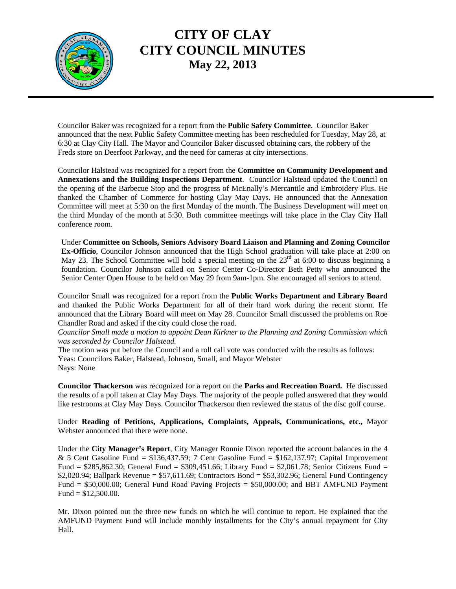

## **CITY OF CLAY CITY COUNCIL MINUTES May 22, 2013**

Councilor Baker was recognized for a report from the **Public Safety Committee**. Councilor Baker announced that the next Public Safety Committee meeting has been rescheduled for Tuesday, May 28, at 6:30 at Clay City Hall. The Mayor and Councilor Baker discussed obtaining cars, the robbery of the Freds store on Deerfoot Parkway, and the need for cameras at city intersections.

Councilor Halstead was recognized for a report from the **Committee on Community Development and Annexations and the Building Inspections Department**. Councilor Halstead updated the Council on the opening of the Barbecue Stop and the progress of McEnally's Mercantile and Embroidery Plus. He thanked the Chamber of Commerce for hosting Clay May Days. He announced that the Annexation Committee will meet at 5:30 on the first Monday of the month. The Business Development will meet on the third Monday of the month at 5:30. Both committee meetings will take place in the Clay City Hall conference room.

Under **Committee on Schools, Seniors Advisory Board Liaison and Planning and Zoning Councilor Ex-Officio**, Councilor Johnson announced that the High School graduation will take place at 2:00 on May 23. The School Committee will hold a special meeting on the  $23<sup>rd</sup>$  at 6:00 to discuss beginning a foundation. Councilor Johnson called on Senior Center Co-Director Beth Petty who announced the Senior Center Open House to be held on May 29 from 9am-1pm. She encouraged all seniors to attend.

Councilor Small was recognized for a report from the **Public Works Department and Library Board** and thanked the Public Works Department for all of their hard work during the recent storm. He announced that the Library Board will meet on May 28. Councilor Small discussed the problems on Roe Chandler Road and asked if the city could close the road.

*Councilor Small made a motion to appoint Dean Kirkner to the Planning and Zoning Commission which was seconded by Councilor Halstead.* 

The motion was put before the Council and a roll call vote was conducted with the results as follows: Yeas: Councilors Baker, Halstead, Johnson, Small, and Mayor Webster Nays: None

**Councilor Thackerson** was recognized for a report on the **Parks and Recreation Board.** He discussed the results of a poll taken at Clay May Days. The majority of the people polled answered that they would like restrooms at Clay May Days. Councilor Thackerson then reviewed the status of the disc golf course.

Under **Reading of Petitions, Applications, Complaints, Appeals, Communications, etc.,** Mayor Webster announced that there were none.

Under the **City Manager's Report**, City Manager Ronnie Dixon reported the account balances in the 4 & 5 Cent Gasoline Fund =  $$136,437.59$ ; 7 Cent Gasoline Fund =  $$162,137.97$ ; Capital Improvement Fund = \$285,862.30; General Fund = \$309,451.66; Library Fund = \$2,061.78; Senior Citizens Fund = \$2,020.94; Ballpark Revenue =  $$57,611.69$ ; Contractors Bond = \$53,302.96; General Fund Contingency Fund = \$50,000.00; General Fund Road Paving Projects = \$50,000.00; and BBT AMFUND Payment Fund =  $$12,500.00$ .

Mr. Dixon pointed out the three new funds on which he will continue to report. He explained that the AMFUND Payment Fund will include monthly installments for the City's annual repayment for City Hall.